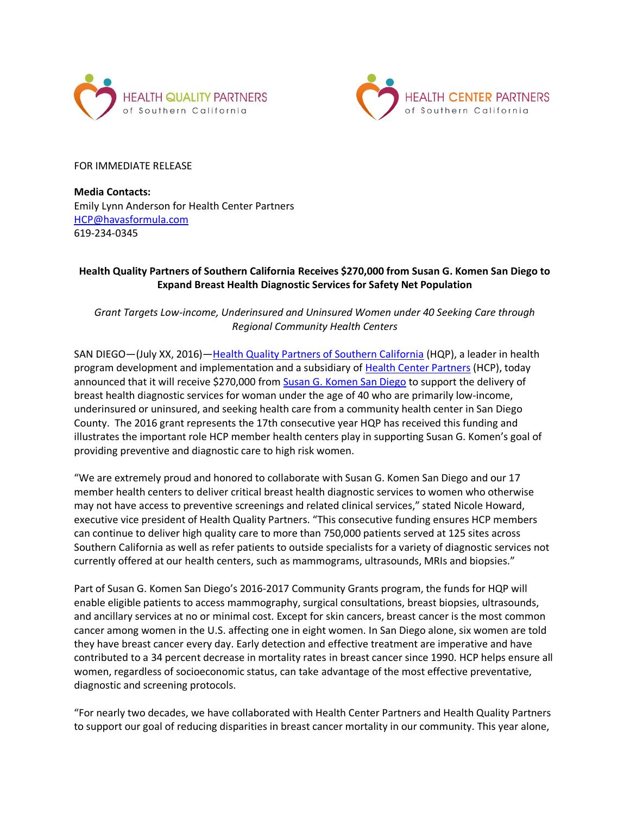



FOR IMMEDIATE RELEASE

**Media Contacts:** Emily Lynn Anderson for Health Center Partners [HCP@havasformula.com](mailto:HCP@havasformula.com) 619-234-0345

## **Health Quality Partners of Southern California Receives \$270,000 from Susan G. Komen San Diego to Expand Breast Health Diagnostic Services for Safety Net Population**

*Grant Targets Low-income, Underinsured and Uninsured Women under 40 Seeking Care through Regional Community Health Centers*

SAN DIEGO—(July XX, 2016)—[Health Quality Partners of Southern California](http://hcpsocal.org/wp-content/uploads/2014/05/3-HQP-copy.pdf) (HQP), a leader in health program development and implementation and a subsidiary of [Health Center Partners](http://hcpsocal.org/) (HCP), today announced that it will receive \$270,000 from [Susan G. Komen San Diego](http://www.komensandiego.org/) to support the delivery of breast health diagnostic services for woman under the age of 40 who are primarily low-income, underinsured or uninsured, and seeking health care from a community health center in San Diego County. The 2016 grant represents the 17th consecutive year HQP has received this funding and illustrates the important role HCP member health centers play in supporting Susan G. Komen's goal of providing preventive and diagnostic care to high risk women.

"We are extremely proud and honored to collaborate with Susan G. Komen San Diego and our 17 member health centers to deliver critical breast health diagnostic services to women who otherwise may not have access to preventive screenings and related clinical services," stated Nicole Howard, executive vice president of Health Quality Partners. "This consecutive funding ensures HCP members can continue to deliver high quality care to more than 750,000 patients served at 125 sites across Southern California as well as refer patients to outside specialists for a variety of diagnostic services not currently offered at our health centers, such as mammograms, ultrasounds, MRIs and biopsies."

Part of Susan G. Komen San Diego's 2016-2017 Community Grants program, the funds for HQP will enable eligible patients to access mammography, surgical consultations, breast biopsies, ultrasounds, and ancillary services at no or minimal cost. Except for skin cancers, breast cancer is the most common cancer among women in the U.S. affecting one in eight women. In San Diego alone, six women are told they have breast cancer every day. Early detection and effective treatment are imperative and have contributed to a 34 percent decrease in mortality rates in breast cancer since 1990. HCP helps ensure all women, regardless of socioeconomic status, can take advantage of the most effective preventative, diagnostic and screening protocols.

"For nearly two decades, we have collaborated with Health Center Partners and Health Quality Partners to support our goal of reducing disparities in breast cancer mortality in our community. This year alone,